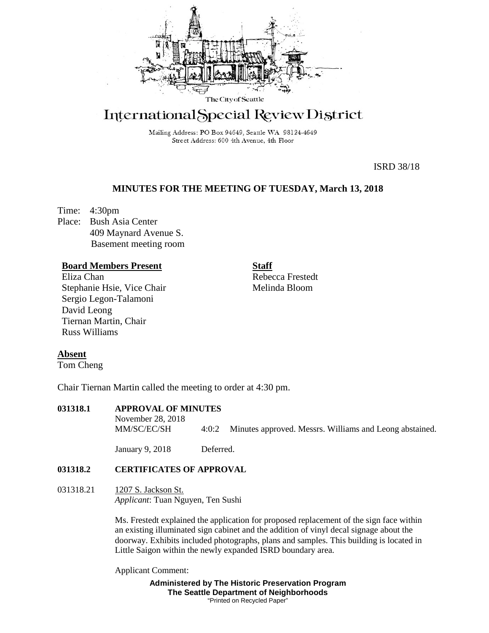

# International Special Review District

Mailing Address: PO Box 94649, Seattle WA 98124-4649 Street Address: 600 4th Avenue, 4th Floor

ISRD 38/18

# **MINUTES FOR THE MEETING OF TUESDAY, March 13, 2018**

Time: 4:30pm Place: Bush Asia Center 409 Maynard Avenue S. Basement meeting room

## **Board Members Present**

Eliza Chan Stephanie Hsie, Vice Chair Sergio Legon-Talamoni David Leong Tiernan Martin, Chair Russ Williams

Rebecca Frestedt Melinda Bloom

**Staff**

## **Absent**

Tom Cheng

Chair Tiernan Martin called the meeting to order at 4:30 pm.

# **031318.1 APPROVAL OF MINUTES**

November 28, 2018 MM/SC/EC/SH 4:0:2 Minutes approved. Messrs. Williams and Leong abstained.

January 9, 2018 Deferred.

## **031318.2 CERTIFICATES OF APPROVAL**

031318.21 1207 S. Jackson St. *Applicant*: Tuan Nguyen, Ten Sushi

> Ms. Frestedt explained the application for proposed replacement of the sign face within an existing illuminated sign cabinet and the addition of vinyl decal signage about the doorway. Exhibits included photographs, plans and samples. This building is located in Little Saigon within the newly expanded ISRD boundary area.

Applicant Comment:

**Administered by The Historic Preservation Program The Seattle Department of Neighborhoods** "Printed on Recycled Paper"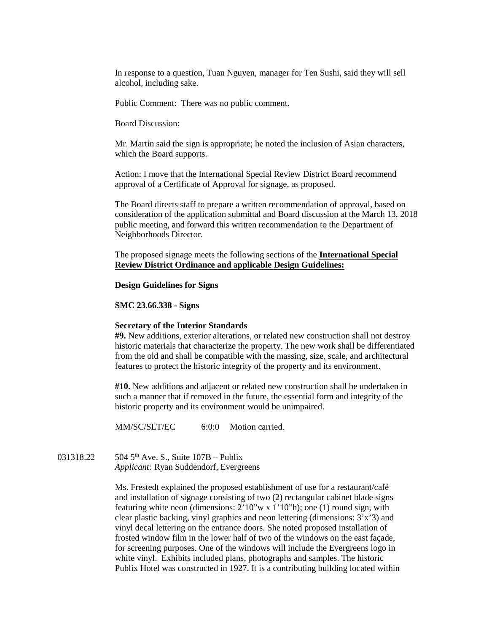In response to a question, Tuan Nguyen, manager for Ten Sushi, said they will sell alcohol, including sake.

Public Comment: There was no public comment.

Board Discussion:

Mr. Martin said the sign is appropriate; he noted the inclusion of Asian characters, which the Board supports.

Action: I move that the International Special Review District Board recommend approval of a Certificate of Approval for signage, as proposed.

The Board directs staff to prepare a written recommendation of approval, based on consideration of the application submittal and Board discussion at the March 13, 2018 public meeting, and forward this written recommendation to the Department of Neighborhoods Director.

The proposed signage meets the following sections of the **International Special Review District Ordinance and** a**pplicable Design Guidelines:**

#### **Design Guidelines for Signs**

#### **SMC 23.66.338 - Signs**

#### **Secretary of the Interior Standards**

**#9.** New additions, exterior alterations, or related new construction shall not destroy historic materials that characterize the property. The new work shall be differentiated from the old and shall be compatible with the massing, size, scale, and architectural features to protect the historic integrity of the property and its environment.

**#10.** New additions and adjacent or related new construction shall be undertaken in such a manner that if removed in the future, the essential form and integrity of the historic property and its environment would be unimpaired.

MM/SC/SLT/EC 6:0:0 Motion carried.

031318.22 504 5<sup>th</sup> Ave. S., Suite  $107B -$ Publix *Applicant:* Ryan Suddendorf, Evergreens

> Ms. Frestedt explained the proposed establishment of use for a restaurant/café and installation of signage consisting of two (2) rectangular cabinet blade signs featuring white neon (dimensions: 2'10"w x 1'10"h); one (1) round sign, with clear plastic backing, vinyl graphics and neon lettering (dimensions: 3'x'3) and vinyl decal lettering on the entrance doors. She noted proposed installation of frosted window film in the lower half of two of the windows on the east façade, for screening purposes. One of the windows will include the Evergreens logo in white vinyl. Exhibits included plans, photographs and samples. The historic Publix Hotel was constructed in 1927. It is a contributing building located within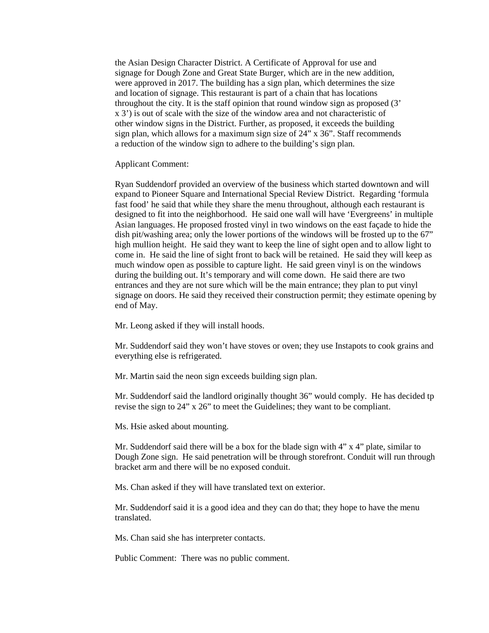the Asian Design Character District. A Certificate of Approval for use and signage for Dough Zone and Great State Burger, which are in the new addition, were approved in 2017. The building has a sign plan, which determines the size and location of signage. This restaurant is part of a chain that has locations throughout the city. It is the staff opinion that round window sign as proposed (3' x 3') is out of scale with the size of the window area and not characteristic of other window signs in the District. Further, as proposed, it exceeds the building sign plan, which allows for a maximum sign size of 24" x 36". Staff recommends a reduction of the window sign to adhere to the building's sign plan.

Applicant Comment:

Ryan Suddendorf provided an overview of the business which started downtown and will expand to Pioneer Square and International Special Review District. Regarding 'formula fast food' he said that while they share the menu throughout, although each restaurant is designed to fit into the neighborhood. He said one wall will have 'Evergreens' in multiple Asian languages. He proposed frosted vinyl in two windows on the east façade to hide the dish pit/washing area; only the lower portions of the windows will be frosted up to the 67" high mullion height. He said they want to keep the line of sight open and to allow light to come in. He said the line of sight front to back will be retained. He said they will keep as much window open as possible to capture light. He said green vinyl is on the windows during the building out. It's temporary and will come down. He said there are two entrances and they are not sure which will be the main entrance; they plan to put vinyl signage on doors. He said they received their construction permit; they estimate opening by end of May.

Mr. Leong asked if they will install hoods.

Mr. Suddendorf said they won't have stoves or oven; they use Instapots to cook grains and everything else is refrigerated.

Mr. Martin said the neon sign exceeds building sign plan.

Mr. Suddendorf said the landlord originally thought 36" would comply. He has decided tp revise the sign to 24" x 26" to meet the Guidelines; they want to be compliant.

Ms. Hsie asked about mounting.

Mr. Suddendorf said there will be a box for the blade sign with 4" x 4" plate, similar to Dough Zone sign. He said penetration will be through storefront. Conduit will run through bracket arm and there will be no exposed conduit.

Ms. Chan asked if they will have translated text on exterior.

Mr. Suddendorf said it is a good idea and they can do that; they hope to have the menu translated.

Ms. Chan said she has interpreter contacts.

Public Comment: There was no public comment.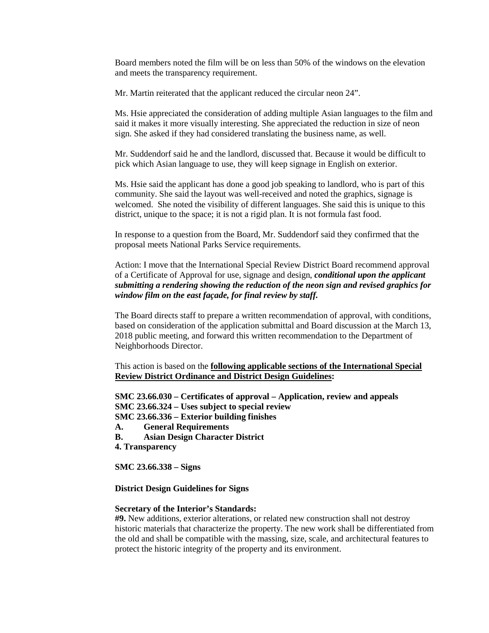Board members noted the film will be on less than 50% of the windows on the elevation and meets the transparency requirement.

Mr. Martin reiterated that the applicant reduced the circular neon 24".

Ms. Hsie appreciated the consideration of adding multiple Asian languages to the film and said it makes it more visually interesting. She appreciated the reduction in size of neon sign. She asked if they had considered translating the business name, as well.

Mr. Suddendorf said he and the landlord, discussed that. Because it would be difficult to pick which Asian language to use, they will keep signage in English on exterior.

Ms. Hsie said the applicant has done a good job speaking to landlord, who is part of this community. She said the layout was well-received and noted the graphics, signage is welcomed. She noted the visibility of different languages. She said this is unique to this district, unique to the space; it is not a rigid plan. It is not formula fast food.

In response to a question from the Board, Mr. Suddendorf said they confirmed that the proposal meets National Parks Service requirements.

Action: I move that the International Special Review District Board recommend approval of a Certificate of Approval for use, signage and design, *conditional upon the applicant submitting a rendering showing the reduction of the neon sign and revised graphics for window film on the east façade, for final review by staff.* 

The Board directs staff to prepare a written recommendation of approval, with conditions, based on consideration of the application submittal and Board discussion at the March 13, 2018 public meeting, and forward this written recommendation to the Department of Neighborhoods Director.

This action is based on the **following applicable sections of the International Special Review District Ordinance and District Design Guidelines:** 

**SMC 23.66.030 – Certificates of approval – Application, review and appeals**

**SMC 23.66.324 – Uses subject to special review** 

**SMC 23.66.336 – Exterior building finishes**

- **A. General Requirements**
- **B. Asian Design Character District**
- **4. Transparency**

**SMC 23.66.338 – Signs** 

## **District Design Guidelines for Signs**

#### **Secretary of the Interior's Standards:**

**#9.** New additions, exterior alterations, or related new construction shall not destroy historic materials that characterize the property. The new work shall be differentiated from the old and shall be compatible with the massing, size, scale, and architectural features to protect the historic integrity of the property and its environment.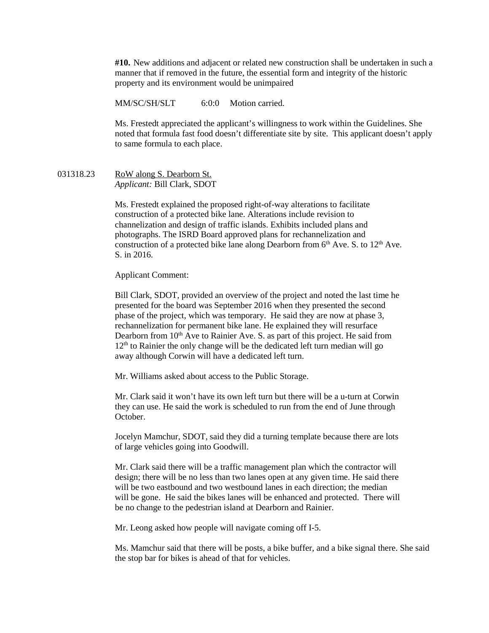**#10.** New additions and adjacent or related new construction shall be undertaken in such a manner that if removed in the future, the essential form and integrity of the historic property and its environment would be unimpaired

MM/SC/SH/SLT 6:0:0 Motion carried.

Ms. Frestedt appreciated the applicant's willingness to work within the Guidelines. She noted that formula fast food doesn't differentiate site by site. This applicant doesn't apply to same formula to each place.

031318.23 RoW along S. Dearborn St. *Applicant:* Bill Clark, SDOT

> Ms. Frestedt explained the proposed right-of-way alterations to facilitate construction of a protected bike lane. Alterations include revision to channelization and design of traffic islands. Exhibits included plans and photographs. The ISRD Board approved plans for rechannelization and construction of a protected bike lane along Dearborn from  $6<sup>th</sup>$  Ave. S. to 12<sup>th</sup> Ave. S. in 2016.

Applicant Comment:

Bill Clark, SDOT, provided an overview of the project and noted the last time he presented for the board was September 2016 when they presented the second phase of the project, which was temporary. He said they are now at phase 3, rechannelization for permanent bike lane. He explained they will resurface Dearborn from  $10<sup>th</sup>$  Ave to Rainier Ave. S. as part of this project. He said from  $12<sup>th</sup>$  to Rainier the only change will be the dedicated left turn median will go away although Corwin will have a dedicated left turn.

Mr. Williams asked about access to the Public Storage.

Mr. Clark said it won't have its own left turn but there will be a u-turn at Corwin they can use. He said the work is scheduled to run from the end of June through October.

Jocelyn Mamchur, SDOT, said they did a turning template because there are lots of large vehicles going into Goodwill.

Mr. Clark said there will be a traffic management plan which the contractor will design; there will be no less than two lanes open at any given time. He said there will be two eastbound and two westbound lanes in each direction; the median will be gone. He said the bikes lanes will be enhanced and protected. There will be no change to the pedestrian island at Dearborn and Rainier.

Mr. Leong asked how people will navigate coming off I-5.

Ms. Mamchur said that there will be posts, a bike buffer, and a bike signal there. She said the stop bar for bikes is ahead of that for vehicles.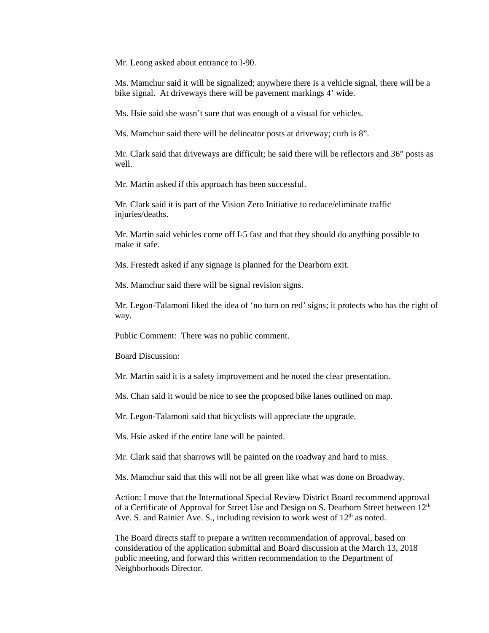Mr. Leong asked about entrance to I-90.

Ms. Mamchur said it will be signalized; anywhere there is a vehicle signal, there will be a bike signal. At driveways there will be pavement markings 4' wide.

Ms. Hsie said she wasn't sure that was enough of a visual for vehicles.

Ms. Mamchur said there will be delineator posts at driveway; curb is 8".

Mr. Clark said that driveways are difficult; he said there will be reflectors and 36" posts as well.

Mr. Martin asked if this approach has been successful.

Mr. Clark said it is part of the Vision Zero Initiative to reduce/eliminate traffic injuries/deaths.

Mr. Martin said vehicles come off I-5 fast and that they should do anything possible to make it safe.

Ms. Frestedt asked if any signage is planned for the Dearborn exit.

Ms. Mamchur said there will be signal revision signs.

Mr. Legon-Talamoni liked the idea of 'no turn on red' signs; it protects who has the right of way.

Public Comment: There was no public comment.

Board Discussion:

Mr. Martin said it is a safety improvement and he noted the clear presentation.

Ms. Chan said it would be nice to see the proposed bike lanes outlined on map.

Mr. Legon-Talamoni said that bicyclists will appreciate the upgrade.

Ms. Hsie asked if the entire lane will be painted.

Mr. Clark said that sharrows will be painted on the roadway and hard to miss.

Ms. Mamchur said that this will not be all green like what was done on Broadway.

Action: I move that the International Special Review District Board recommend approval of a Certificate of Approval for Street Use and Design on S. Dearborn Street between  $12<sup>th</sup>$ Ave. S. and Rainier Ave. S., including revision to work west of  $12<sup>th</sup>$  as noted.

The Board directs staff to prepare a written recommendation of approval, based on consideration of the application submittal and Board discussion at the March 13, 2018 public meeting, and forward this written recommendation to the Department of Neighborhoods Director.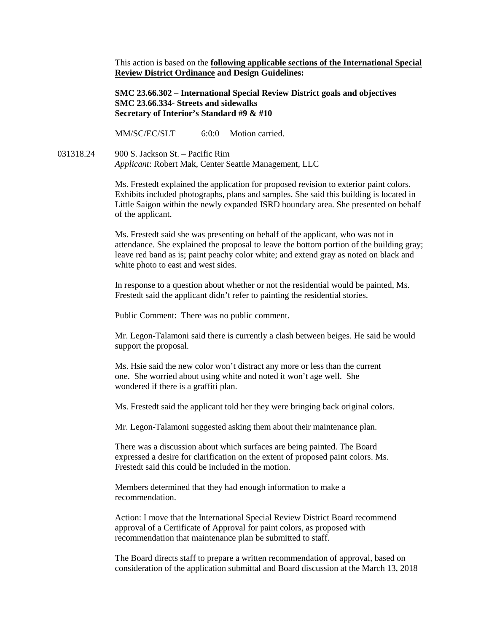This action is based on the **following applicable sections of the International Special Review District Ordinance and Design Guidelines:** 

**SMC 23.66.302 – International Special Review District goals and objectives SMC 23.66.334- Streets and sidewalks Secretary of Interior's Standard #9 & #10**

MM/SC/EC/SLT 6:0:0 Motion carried.

031318.24 900 S. Jackson St. – Pacific Rim *Applicant*: Robert Mak, Center Seattle Management, LLC

> Ms. Frestedt explained the application for proposed revision to exterior paint colors. Exhibits included photographs, plans and samples. She said this building is located in Little Saigon within the newly expanded ISRD boundary area. She presented on behalf of the applicant.

> Ms. Frestedt said she was presenting on behalf of the applicant, who was not in attendance. She explained the proposal to leave the bottom portion of the building gray; leave red band as is; paint peachy color white; and extend gray as noted on black and white photo to east and west sides.

In response to a question about whether or not the residential would be painted, Ms. Frestedt said the applicant didn't refer to painting the residential stories.

Public Comment: There was no public comment.

Mr. Legon-Talamoni said there is currently a clash between beiges. He said he would support the proposal.

Ms. Hsie said the new color won't distract any more or less than the current one. She worried about using white and noted it won't age well. She wondered if there is a graffiti plan.

Ms. Frestedt said the applicant told her they were bringing back original colors.

Mr. Legon-Talamoni suggested asking them about their maintenance plan.

There was a discussion about which surfaces are being painted. The Board expressed a desire for clarification on the extent of proposed paint colors. Ms. Frestedt said this could be included in the motion.

Members determined that they had enough information to make a recommendation.

Action: I move that the International Special Review District Board recommend approval of a Certificate of Approval for paint colors, as proposed with recommendation that maintenance plan be submitted to staff.

The Board directs staff to prepare a written recommendation of approval, based on consideration of the application submittal and Board discussion at the March 13, 2018